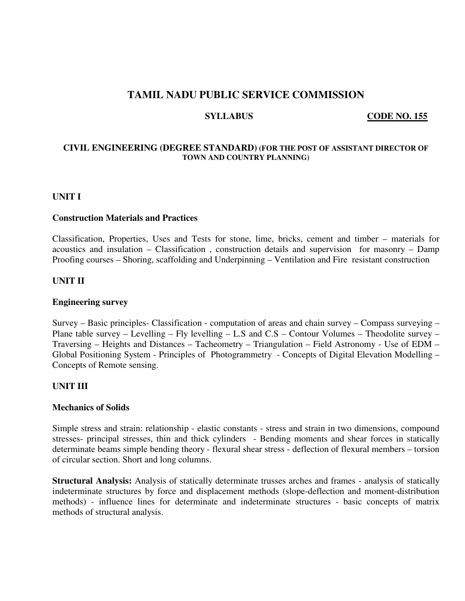## **TAMIL NADU PUBLIC SERVICE COMMISSION**

**SYLLABUS** CODE NO. 155

## **CIVIL ENGINEERING (DEGREE STANDARD) (FOR THE POST OF ASSISTANT DIRECTOR OF TOWN AND COUNTRY PLANNING)**

## **UNIT I**

## **Construction Materials and Practices**

Classification, Properties, Uses and Tests for stone, lime, bricks, cement and timber – materials for acoustics and insulation – Classification , construction details and supervision for masonry – Damp Proofing courses – Shoring, scaffolding and Underpinning – Ventilation and Fire resistant construction

## **UNIT II**

## **Engineering survey**

Survey – Basic principles- Classification - computation of areas and chain survey – Compass surveying – Plane table survey – Levelling – Fly levelling – L.S and C.S – Contour Volumes – Theodolite survey – Traversing – Heights and Distances – Tacheometry – Triangulation – Field Astronomy - Use of EDM – Global Positioning System - Principles of Photogrammetry - Concepts of Digital Elevation Modelling – Concepts of Remote sensing.

## **UNIT III**

#### **Mechanics of Solids**

Simple stress and strain: relationship - elastic constants - stress and strain in two dimensions, compound stresses- principal stresses, thin and thick cylinders - Bending moments and shear forces in statically determinate beams simple bending theory - flexural shear stress - deflection of flexural members – torsion of circular section. Short and long columns.

**Structural Analysis:** Analysis of statically determinate trusses arches and frames - analysis of statically indeterminate structures by force and displacement methods (slope-deflection and moment-distribution methods) - influence lines for determinate and indeterminate structures - basic concepts of matrix methods of structural analysis.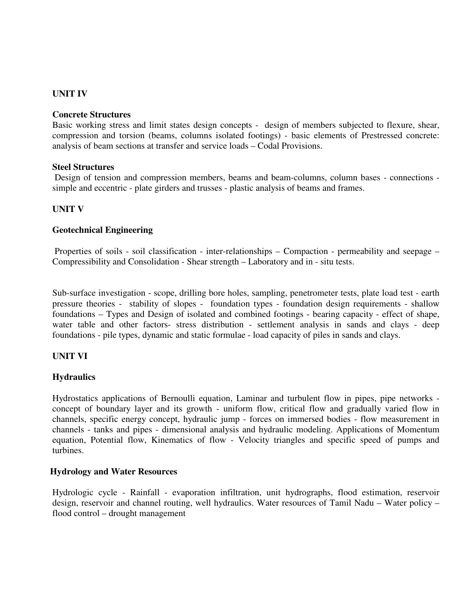## **UNIT IV**

#### **Concrete Structures**

Basic working stress and limit states design concepts - design of members subjected to flexure, shear, compression and torsion (beams, columns isolated footings) - basic elements of Prestressed concrete: analysis of beam sections at transfer and service loads – Codal Provisions.

## **Steel Structures**

 Design of tension and compression members, beams and beam-columns, column bases - connections simple and eccentric - plate girders and trusses - plastic analysis of beams and frames.

## **UNIT V**

## **Geotechnical Engineering**

 Properties of soils - soil classification - inter-relationships – Compaction - permeability and seepage – Compressibility and Consolidation - Shear strength – Laboratory and in - situ tests.

Sub-surface investigation - scope, drilling bore holes, sampling, penetrometer tests, plate load test - earth pressure theories - stability of slopes - foundation types - foundation design requirements - shallow foundations – Types and Design of isolated and combined footings - bearing capacity - effect of shape, water table and other factors- stress distribution - settlement analysis in sands and clays - deep foundations - pile types, dynamic and static formulae - load capacity of piles in sands and clays.

## **UNIT VI**

#### **Hydraulics**

Hydrostatics applications of Bernoulli equation, Laminar and turbulent flow in pipes, pipe networks concept of boundary layer and its growth - uniform flow, critical flow and gradually varied flow in channels, specific energy concept, hydraulic jump - forces on immersed bodies - flow measurement in channels - tanks and pipes - dimensional analysis and hydraulic modeling. Applications of Momentum equation, Potential flow, Kinematics of flow - Velocity triangles and specific speed of pumps and turbines.

## **Hydrology and Water Resources**

Hydrologic cycle - Rainfall - evaporation infiltration, unit hydrographs, flood estimation, reservoir design, reservoir and channel routing, well hydraulics. Water resources of Tamil Nadu – Water policy – flood control – drought management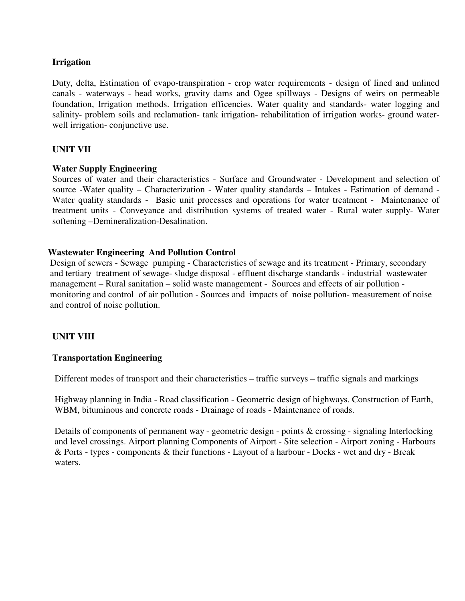## **Irrigation**

Duty, delta, Estimation of evapo-transpiration - crop water requirements - design of lined and unlined canals - waterways - head works, gravity dams and Ogee spillways - Designs of weirs on permeable foundation, Irrigation methods. Irrigation efficencies. Water quality and standards- water logging and salinity- problem soils and reclamation- tank irrigation- rehabilitation of irrigation works- ground waterwell irrigation- conjunctive use.

## **UNIT VII**

## **Water Supply Engineering**

Sources of water and their characteristics - Surface and Groundwater - Development and selection of source -Water quality – Characterization - Water quality standards – Intakes - Estimation of demand - Water quality standards - Basic unit processes and operations for water treatment - Maintenance of treatment units - Conveyance and distribution systems of treated water - Rural water supply- Water softening –Demineralization-Desalination.

## **Wastewater Engineering And Pollution Control**

 Design of sewers - Sewage pumping - Characteristics of sewage and its treatment - Primary, secondary and tertiary treatment of sewage- sludge disposal - effluent discharge standards - industrial wastewater management – Rural sanitation – solid waste management - Sources and effects of air pollution monitoring and control of air pollution - Sources and impacts of noise pollution- measurement of noise and control of noise pollution.

## **UNIT VIII**

#### **Transportation Engineering**

Different modes of transport and their characteristics – traffic surveys – traffic signals and markings

 Highway planning in India - Road classification - Geometric design of highways. Construction of Earth, WBM, bituminous and concrete roads - Drainage of roads - Maintenance of roads.

 Details of components of permanent way - geometric design - points & crossing - signaling Interlocking and level crossings. Airport planning Components of Airport - Site selection - Airport zoning - Harbours & Ports - types - components & their functions - Layout of a harbour - Docks - wet and dry - Break waters.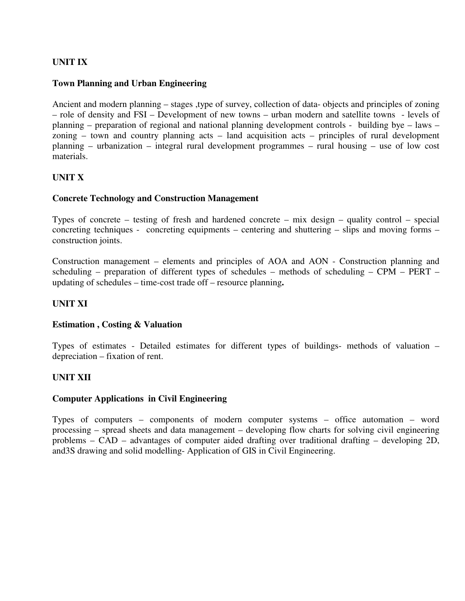## **UNIT IX**

## **Town Planning and Urban Engineering**

Ancient and modern planning – stages ,type of survey, collection of data- objects and principles of zoning – role of density and FSI – Development of new towns – urban modern and satellite towns - levels of planning – preparation of regional and national planning development controls - building bye – laws – zoning – town and country planning acts – land acquisition acts – principles of rural development planning – urbanization – integral rural development programmes – rural housing – use of low cost materials.

## **UNIT X**

## **Concrete Technology and Construction Management**

Types of concrete – testing of fresh and hardened concrete – mix design – quality control – special concreting techniques - concreting equipments – centering and shuttering – slips and moving forms – construction joints.

Construction management – elements and principles of AOA and AON - Construction planning and scheduling – preparation of different types of schedules – methods of scheduling – CPM – PERT – updating of schedules – time-cost trade off – resource planning**.** 

## **UNIT XI**

## **Estimation , Costing & Valuation**

Types of estimates - Detailed estimates for different types of buildings- methods of valuation – depreciation – fixation of rent.

## **UNIT XII**

## **Computer Applications in Civil Engineering**

Types of computers – components of modern computer systems – office automation – word processing – spread sheets and data management – developing flow charts for solving civil engineering problems – CAD – advantages of computer aided drafting over traditional drafting – developing 2D, and3S drawing and solid modelling- Application of GIS in Civil Engineering.